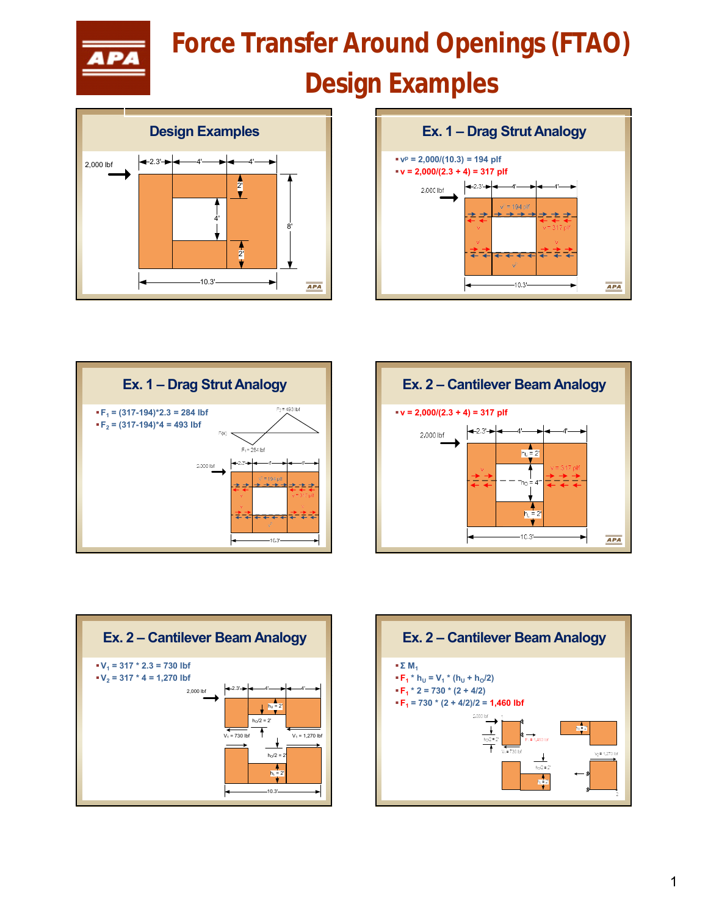

## 11/9/2019 12:00 PM **Force Transfer Around Openings (FTAO)**

## **Design Examples**











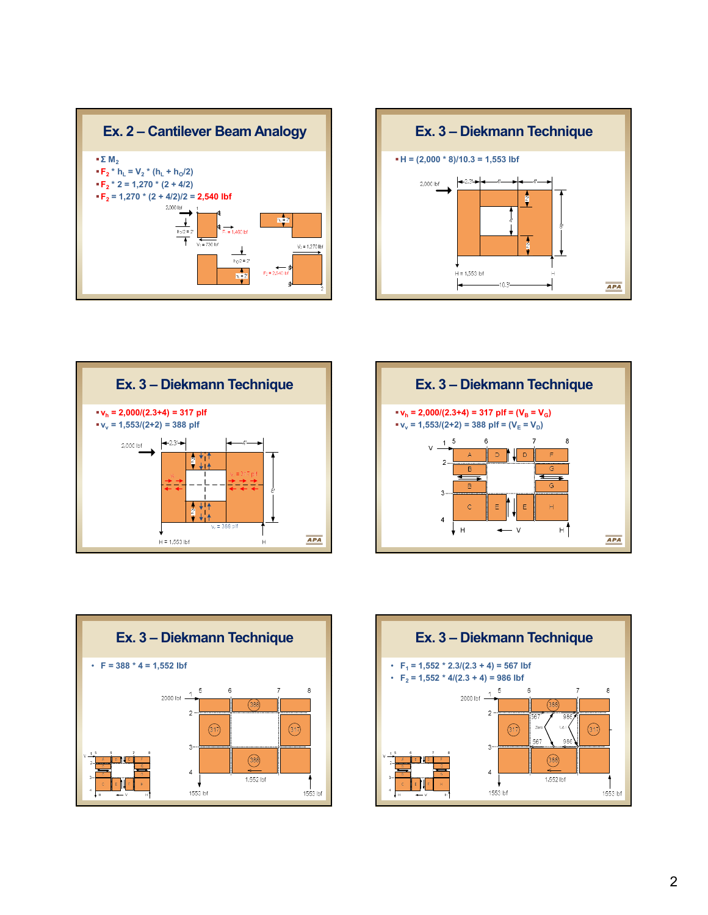